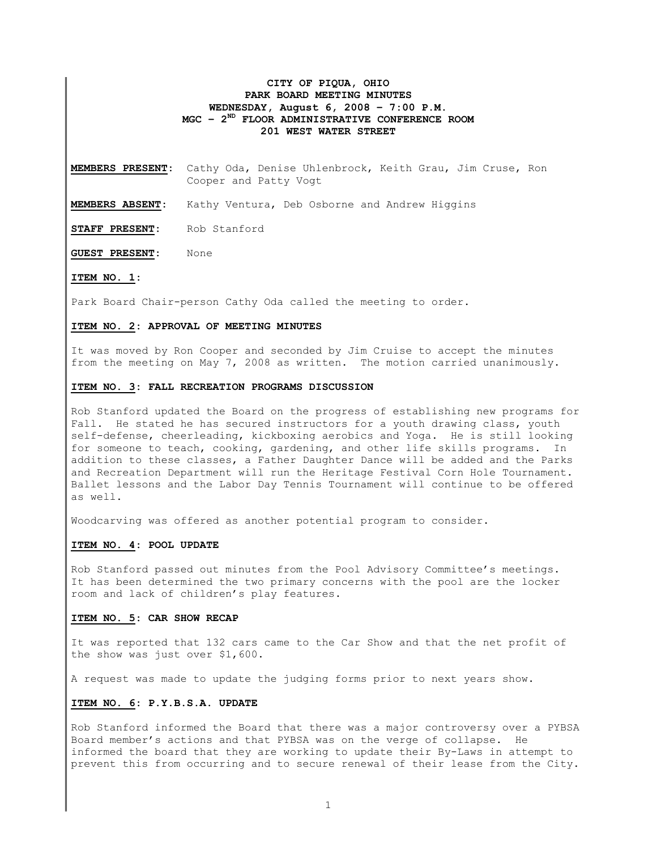## CITY OF PIQUA, OHIO PARK BOARD MEETING MINUTES WEDNESDAY, August 6, 2008 – 7:00 P.M. MGC –  $2^{ND}$  FLOOR ADMINISTRATIVE CONFERENCE ROOM 201 WEST WATER STREET

MEMBERS PRESENT: Cathy Oda, Denise Uhlenbrock, Keith Grau, Jim Cruse, Ron Cooper and Patty Vogt

MEMBERS ABSENT: Kathy Ventura, Deb Osborne and Andrew Higgins

STAFF PRESENT: Rob Stanford

GUEST PRESENT: None

#### ITEM NO. 1:

Park Board Chair-person Cathy Oda called the meeting to order.

#### ITEM NO. 2: APPROVAL OF MEETING MINUTES

It was moved by Ron Cooper and seconded by Jim Cruise to accept the minutes from the meeting on May 7, 2008 as written. The motion carried unanimously.

#### ITEM NO. 3: FALL RECREATION PROGRAMS DISCUSSION

Rob Stanford updated the Board on the progress of establishing new programs for Fall. He stated he has secured instructors for a youth drawing class, youth self-defense, cheerleading, kickboxing aerobics and Yoga. He is still looking for someone to teach, cooking, gardening, and other life skills programs. In addition to these classes, a Father Daughter Dance will be added and the Parks and Recreation Department will run the Heritage Festival Corn Hole Tournament. Ballet lessons and the Labor Day Tennis Tournament will continue to be offered as well.

Woodcarving was offered as another potential program to consider.

### ITEM NO. 4: POOL UPDATE

Rob Stanford passed out minutes from the Pool Advisory Committee's meetings. It has been determined the two primary concerns with the pool are the locker room and lack of children's play features.

#### ITEM NO. 5: CAR SHOW RECAP

It was reported that 132 cars came to the Car Show and that the net profit of the show was just over \$1,600.

A request was made to update the judging forms prior to next years show.

### ITEM NO. 6: P.Y.B.S.A. UPDATE

Rob Stanford informed the Board that there was a major controversy over a PYBSA Board member's actions and that PYBSA was on the verge of collapse. He informed the board that they are working to update their By-Laws in attempt to prevent this from occurring and to secure renewal of their lease from the City.